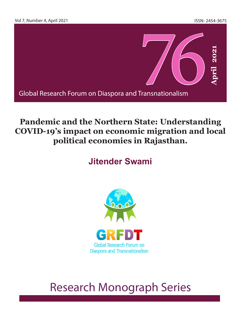

## **Pandemic and the Northern State: Understanding COVID-19's impact on economic migration and local political economies in Rajasthan.**

## **Jitender Swami**



## **GRFDT Research Monograph 76, Vol 7, Number 4, April 2021** 1 Research Monograph Series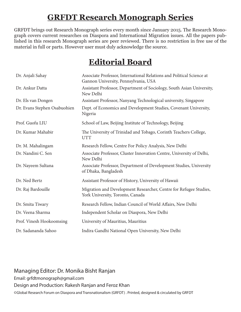## **GRFDT Research Monograph Series**

GRFDT brings out Research Monograph series every month since January 2015. The Research Monograph covers current researches on Diaspora and International Migration issues. All the papers published in this research Monograph series are peer reviewed. There is no restriction in free use of the material in full or parts. However user must duly acknowledge the source.

## **Editorial Board**

| Dr. Anjali Sahay             | Associate Professor, International Relations and Political Science at<br>Gannon University, Pennsylvania, USA |
|------------------------------|---------------------------------------------------------------------------------------------------------------|
| Dr. Ankur Datta              | Assistant Professor, Department of Sociology, South Asian University,<br>New Delhi                            |
| Dr. Els van Dongen           | Assistant Professor, Nanyang Technological university, Singapore                                              |
| Dr. Evans Stephen Osabuohien | Dept. of Economics and Development Studies, Covenant University,<br>Nigeria                                   |
| Prof. Guofu LIU              | School of Law, Beijing Institute of Technology, Beijing                                                       |
| Dr. Kumar Mahabir            | The University of Trinidad and Tobago, Corinth Teachers College,<br><b>UTT</b>                                |
| Dr. M. Mahalingam            | Research Fellow, Centre For Policy Analysis, New Delhi                                                        |
| Dr. Nandini C. Sen           | Associate Professor, Cluster Innovation Centre, University of Delhi,<br>New Delhi                             |
| Dr. Nayeem Sultana           | Associate Professor, Department of Development Studies, University<br>of Dhaka, Bangladesh                    |
| Dr. Ned Bertz                | Assistant Professor of History, University of Hawaii                                                          |
| Dr. Raj Bardouille           | Migration and Development Researcher, Centre for Refugee Studies,<br>York University, Toronto, Canada         |
| Dr. Smita Tiwary             | Research Fellow, Indian Council of World Affairs, New Delhi                                                   |
| Dr. Veena Sharma             | Independent Scholar on Diaspora, New Delhi                                                                    |
| Prof. Vinesh Hookoomsing     | University of Mauritius, Mauritius                                                                            |
| Dr. Sadananda Sahoo          | Indira Gandhi National Open University, New Delhi                                                             |

### 2 **GRFDT Research Monograph 76, Vol 7, Number 4, April 2021** ©Global Research Forum on Diaspora and Transnationalism (GRFDT) . Printed, designed & circulated by GRFDTManaging Editor: Dr. Monika Bisht Ranjan Email: grfdtmonograph@gmail.com Design and Production: Rakesh Ranjan and Feroz Khan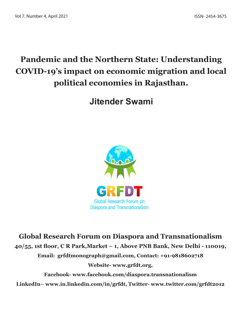# **Pandemic and the Northern State: Understanding COVID-19's impact on economic migration and local political economies in Rajasthan.**

**Jitender Swami**



**Global Research Forum on Diaspora and Transnationalism 40/55, 1st floor, C R Park,Market – 1, Above PNB Bank, New Delhi - 110019, Email: grfdtmonograph@gmail.com, Contact: +91-9818602718 Website- www.grfdt.org,** 

**Facebook- www.facebook.com/diaspora.transnationalism LinkedIn– www.in.linkedin.com/in/grfdt, Twitter- www.twitter.com/grfdt2012**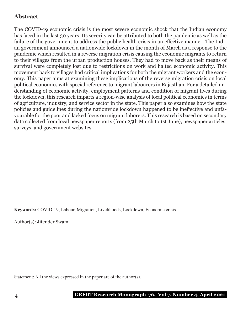### **Abstract**

The COVID-19 economic crisis is the most severe economic shock that the Indian economy has faced in the last 30 years. Its severity can be attributed to both the pandemic as well as the failure of the government to address the public health crisis in an effective manner. The Indian government announced a nationwide lockdown in the month of March as a response to the pandemic which resulted in a reverse migration crisis causing the economic migrants to return to their villages from the urban production houses. They had to move back as their means of survival were completely lost due to restrictions on work and halted economic activity. This movement back to villages had critical implications for both the migrant workers and the economy. This paper aims at examining these implications of the reverse migration crisis on local political economies with special reference to migrant labourers in Rajasthan. For a detailed understanding of economic activity, employment patterns and condition of migrant lives during the lockdown, this research imparts a region-wise analysis of local political economies in terms of agriculture, industry, and service sector in the state. This paper also examines how the state policies and guidelines during the nationwide lockdown happened to be ineffective and unfavourable for the poor and lacked focus on migrant laborers. This research is based on secondary data collected from local newspaper reports (from 25th March to 1st June), newspaper articles, surveys, and government websites.

**Keywords:** COVID-19, Labour, Migration, Livelihoods, Lockdown, Economic crisis

Author(s): Jitender Swami

Statement: All the views expressed in the paper are of the author(s).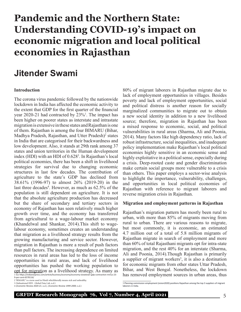# **Pandemic and the Northern State: Understanding COVID-19's impact on economic migration and local political economies in Rajasthan**

## **Jitender Swami**

#### **Introduction**

The corona virus pandemic followed by the nationwide lockdown in India has affected the economic activity to the extent that GDP for the first quarter of the financial year  $2020-21$  had contracted by  $23\%$ <sup>1</sup>. The impact has been higher on poorer states as interstate and intrastate migration is extensive in these states and Rajasthan is one of them. Rajasthan is among the four BIMARU (Bihar, Madhya Pradesh, Rajasthan, and Utter Pradesh)<sup>2</sup> states in India that are categorised for their backwardness and low development. Also, it stands at 29th rank among 37 states and union territories in the Human development index (HDI) with an HDI of 0.6283 . In Rajasthan's local political economies, there has been a shift in livelihood strategies for survival due to changing economic structures in last few decades. The contribution of agriculture to the state's GDP has declined from 38.61% (1996-97) to almost 26% (2019-20) in the last three decades<sup>4</sup>. However, as much as 62.5% of the population is still dependent on agriculture. It is not that the absolute agriculture production has decreased but the share of secondary and tertiary sectors in economy of Rajasthan has seen relatively much higher growth over time, and the economy has transferred from agricultural to a wage-labour market economy (Khandelwal and Shankar, 2014).This shift to wagelabour economy, sometimes creates an understanding that migration as a livelihood strategy results from the growing manufacturing and service sector. However, migration in Rajasthan is more a result of push factors than pull factors. The increasing dependence on limited resources in rural areas has led to the loss of income opportunities in rural areas, and lack of livelihood opportunities has pushed the working population to opt for migration as a livelihood strategy. As many as 1 See https://indianexpress.com/article/business/economy/economy-slowdown-gdp-contraction-minus-23-

9-per-cent-6578116/

2 'BIMARU' is a term used in Hindi whichliterally means sick and unhealthy. 3 (Subnational HDI - Global Data Lab, n.d.)

80% of migrant laborers in Rajasthan migrate due to lack of employment opportunities in villages. Besides poverty and lack of employment opportunities, social and political distress is another reason for socially marginalized communities to migrate out to obtain a new social identity in addition to a new livelihood source; therefore, migration in Rajasthan has been a mixed response to economic, social, and political vulnerabilities in rural areas (Sharma, Ali and Poonia, 2014). Many factors like high dependency ratio, lack of robust infrastructure, social inequalities, and inadequate policy implementation make Rajasthan's local political economies highly sensitive in an economic sense and highly exploitative in a political sense, especially during a crisis. Deep-rooted caste and gender discrimination make certain social groups more vulnerable to a crisis than others. This paper employs a sector-wise analysis to highlight the importance, vulnerability, challenges, and opportunities in local political economies of Rajasthan with reference to migrant laborers and reverse migration crisis in Rajasthan.

#### **Migration and employment patterns in Rajasthan**

Rajasthan's migration pattern has mostly been rural to urban, with more than 85% of migrants moving from rural to urban. There are various reasons to migrate, but most commonly, it is economic, an estimated 4.7 million out of a total of 5.8 million migrants of Rajasthan migrate in search of employment and more than 60% of total Rajasthani migrants opt for intra-state migration, and the rest 40% for an interstate (Sharma, Ali and Poonia, 2014).Though Rajasthan is primarily a supplier of migrant workers<sup>5</sup>, it is also a destination for economic migrants from other states Uttar Pradesh, Bihar, and West Bengal. Nonetheless, the lockdown has removed employment sources in urban areas, thus

<sup>4 (</sup>*Economic Review 2020-21*, n.d.), (*Economic Review 1999-2000*, n.d.)

<sup>5</sup> Planning commission employment (vision2020) positions Rajasthan among the top 3 suppliers of migrant laborers in India.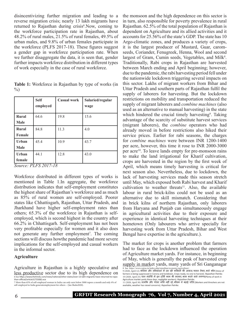disincentivizing further migration and leading to a reverse migration crisis; nearly 13 lakh migrants have returned to Rajasthan during crisis<sup>6</sup>. Now, coming to the workforce participation rate in Rajasthan, about 48.2% of rural males, 21.5% of rural females, 49.5% of urban males, and 9.8% of urban females participate in the workforce (PLFS 2017-18). These figures suggest a gender gap in workforce participation rate. When we further disaggregate the data, it is seen that, gender further impacts workforce distribution in different types of work especially in the case of rural workforce.

|        | <b>Table 1:</b> Workforce in Rajasthan by type of works (in |  |  |  |
|--------|-------------------------------------------------------------|--|--|--|
| $\%$ ) |                                                             |  |  |  |

|                             | <b>Self</b><br>employed | Casual work | Salaried/regular<br>wage |
|-----------------------------|-------------------------|-------------|--------------------------|
| <b>Rural</b><br><b>Male</b> | 64.6                    | 19.8        | 15.6                     |
| <b>Rural</b><br>Female      | 84.8                    | 11.3        | 4.0                      |
| Urban<br><b>Male</b>        | 45.4                    | 10.9        | 43.7                     |
| Urban<br>female             | 44.1                    | 12.8        | 43.0                     |

*Source: PLFS 2017-18*

Workforce distributed in different types of works is mentioned in Table 1.In aggregate, the workforce distribution indicates that self-employment constitutes the highest share of Rajasthan's workforce and as much as 85% of rural women are self-employed. Poorer states like Chhattisgarh, Rajasthan, Uttar Pradesh, and Jharkhand have higher self-employment rates than others; 65.3% of the workforce in Rajasthan is selfemployed, which is second highest in the country after 66.2% in Chhattisgarh. Self-employment has not been very profitable especially for women and it also does not generate any further employment<sup>7</sup>. The coming sections will discuss howthe pandemic had more severe implications for the self-employed and casual workers in the informal sector.

#### **Agriculture**

Agriculture in Rajasthan is a highly speculative and less productive sector due to its high dependence on 6 See https://www.thehindu.com/news/national/other-states/over-13-lakh-migrants-have-returned-to-rajasthan-official/article31755082.ece

7 More than 65% of self-employed woman in India can only earn below 3000 rupees a month and only 4% of self-employed in India generateemployment for others – (Jan Shahs2020).

the monsoon and the high dependence on this sector is in turn, also responsible for poverty prevalence in rural Rajasthan. 62.5% of the total population of Rajasthan is dependent on Agriculture and its allied activities and it accounts for 25.56% of the state's GDP. The state has 10 Argo-climatic zones, and produces a variety of crops, it is the largest producer of Mustard, Guar, caromseeds, Coriander, Fenugreek, Henna, Wool and second largest of Gram, Cumin seeds, Vegetables, and Milk<sup>8</sup>. Traditionally, Rabi crops in Rajasthan are harvested between March ending and April beginning; however, due to the pandemic, the rabi harvesting period fell under the nationwide lockdown triggering several impacts on this sector. Lakhs of migrant workers from Bihar and Uttar Pradesh and southern parts of Rajasthan fulfil the supply of laborers for harvesting. But the lockdown restrictions on mobility and transportation reduced the supply of migrant laborers and *combine machines* (also used as an alternative to manual harvesting) in the state which hindered the crucial timely harvesting<sup>9</sup>. Taking advantage of the scarcity of substitute harvest services (migrant laborers), the *combine* operators who had already moved in before restrictions also hiked their service prices. Earlier for rabi seasons, the charges for *combine machines* were between INR 1200-1400 per acre, however, this time it rose to INR 2000-3000 per acre<sup>10</sup>. To leave lands empty for pre-monsoon rains to make the land irrigational for Kharif cultivation, crops are harvested in the region by the first week of April, which means timely harvesting is critical for next season also. Nevertheless, due to lockdown, the lack of harvesting services made this season stretch until May, which exposed both Rabi harvest and Kharif cultivation to weather threats<sup>11</sup>. Also, the available labour in rural brick-kilns could not be used as an alternative due to skill mismatch. Considering that in brick kilns of northern Rajasthan, only laborers from Haryana and Punjab can simultaneously engage in agricultural activities due to their exposure and experience in identical harvesting techniques at their hometown (Only labourers who arrive specially for harvesting work from Uttar Pradesh, Bihar and West Bengal have expertise in the agriculture.).

The market for crops is another problem that farmers had to face as the lockdown influenced the operation of Agriculture market yards. For instance, in beginning of May, which is generally the peak of harvested crop supply in market yards, many yards of Sri Ganganagar

<sup>8</sup> See https://www.rajras.in/index.php/rajasthan/economy/agriculture/. 9 (2020, April 12). कोरोना और लॉकडाउन में दब रही किसानों की आवाज, फसल तैयार, काटे कौन (Voice of farmers is being suppressed in Corona and lockdown, Crops ready, no one to harvest). *Rajasthan Patrika*. 10 (2020, April 25). धान मंडियों में इन दिनों काम की भरमार, काम करने वाले नगण्य(Plenty of work in

Agriculture market yards these days, negligible workers). *Rajasthan Patrika.*<br>11 (2020, April 30). श्रमकि और थ्रेसर मलि नहीं रहे, मौसम ने बढ़ाई चतिा (Workers and threshers are not available, weather has raised concerns). *Rajasthan Patrika*.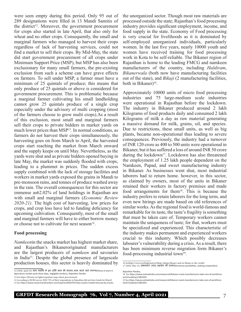were seen empty during this period. Only 95 out of 289 designations were filled in 13 Mandi Samitis of the district<sup>12</sup>. Moreover, the government procurement for crops also started in late April, that also only for wheat and no other crops. Consequently, the small and marginal farmers who managed to harvest their crops regardless of lack of harvesting services, could not find a market to sell their crops. By Mid-May, the state did start government procurement of all crops under Minimum Support Price (MSP), but MSP has also been exclusionary for many small farmers, the pre-existing exclusion from such a scheme can have grave effects on farmers. To sell under MSP, a farmer must have a minimum of 25 quintals of produce; this means that only produce of 25 quintals or above is considered for government procurement. This is problematic because a marginal farmer cultivating his small landholding cannot grow 25 quintals produce of a single crop especially under the advisory of multi cropping (most of the farmers choose to grow multi crops).As a result of this exclusion, most small and marginal farmers sell their crops to private bidders in market yards on much lower prices than MSP<sup>13</sup>. In normal conditions, as farmers do not harvest their crops simultaneously, the harvesting goes on from March to April, the harvested crops start reaching the market from March onward and the supply keeps on until May. Nevertheless, as the yards were shut and as private bidders opened buying in late May, the market was suddenly flooded with crops, leading to a plummet in prices. The sudden excess supply combined with the lack of storage facilities and workers in market yards exposed the grains in Mandi to pre-monsoon rains, and tonnes of produce washed away in the rain. The overall consequences for this sector are immense as62.02% of land holdings in Rajasthan are with small and marginal farmers (*Economic Review 2020-21)*. The high cost of harvesting, low prices for crops, and crop loss have led to funding deficiency for upcoming cultivation. Consequently, most of the small and marginal farmers will have to either borrow money or choose not to cultivate for next season $14$ .

#### **Food processing**

*Namkeen*in the snacks market has highest market share, and Rajasthan's Bikaneroriginated manufacturers are the largest producers of *namkeen* and savouries in India15. Despite the global presence of largescale production houses, this sector is heavily dominated by

the unorganized sector. Though most raw materials are processed outside the state; Rajasthan's food processing industry provides significant employment, income, and food supply in the state. Economy of Food processing is very crucial for livelihoods as it is dominated by self-employed unorganized individuals, particularly women. In the last five years, nearly 10000 youth and women have received training for food processing work in Kota to be self-reliable. The Bikaner region of Rajasthan is home to the leading FMCG and namkeen manufacturers of the country, including *Haldiram*, *Bikanerwala* (both now have manufacturing facilities out of the state), and *Bikaji* (2 manufacturing facilities, both in Bikaner)<sup>16</sup>.

Approximately 10000 units of micro food processing industries and 75 large-medium scale industries were operational in Rajasthan before the lockdown. The industry in Bikaner produced around 2 lakh Kilograms of food products daily and consumed 2 lakh Kilograms of milk a day as raw material generating a massive demand for milk, grains, oil, and species. Due to restrictions, these small units, as well as big plants, became non-operational thus leading to severe consequences. Previously, the industry had a turnover of INR 120 crore as 400 to 500 units were operational in Bikaner, but it has suffered a loss of around INR 50 crore during the lockdown<sup>17</sup>. Lockdown has also threatened the employment of 1.25 lakh people dependent on the Namkeen, Papad, and sweet manufacturing industry in Bikaner. As businesses went shut, most industrial laborers had to return home. however, in this sector, as claimed by owners, most of the units in Bikaner retained their workers in factory premises and made food arrangements for them<sup>18</sup>. This is because the industry prefers to retain laborers for the long term, and even new hirings are made based on old references of similar works. As the regional food is world-famous and remarkable for its taste, the taste's fragility is something that must be taken care of. Temporary workers cannot maintain the uniqueness of taste; for that, workers must be specialized and experienced. This characteristic of the industry makes permanent and experienced workers crucial to this industry. Which possibly decreases labourer's vulnerability during a crisis. As a result, there has been minimum reverse migration form Bikaner's food-processing industrial town<sup>19</sup>.

<sup>12 (2020,</sup> April 25). धान मंडियों में इन दिनों काम की भरमार, काम करने वाले नगण्य(Plenty of work in Agriculture market yards these days, negligible workers). *Rajasthan Patrika*.

<sup>13</sup> See https://thewire.in/rights/rajasthan-msp-wheat-procurement. 14 According to RCRCsurvey 2020 75% of their respondents in Rajasthan did not have funds for Kharif. 15 See https://www.researchandmarkets.com/reports/4450797/india-snacks-market-forecast-by-snacks.

<sup>16</sup> Seehttps://www.nextbigbrand.in/bikaji-taking-bikaner-and-its-bhujia-to-the-world/. 17 (2020, May 15). संभावनाएं अपार*,* सहयोग की दरकार(Immense possibilities, seeking cooperation).

*Rajasthan Patrika.*

<sup>18</sup> See https://www.outlookindia.com/newsscroll/bikaner-snack-manufacturers-take-care-of-workforceamid-lockdown/1801691.

<sup>19</sup> See https://www.outlookindia.com/newsscroll/bikaner-snack-manufacturers-take-care-of-workforceamid-lockdown/1801691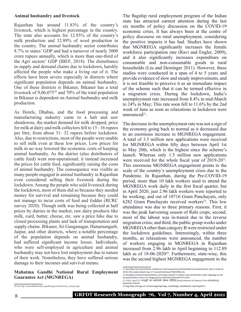#### **Animal husbandry and livestock**

Rajasthan has around 11.83% of the country's livestock, which is highest percentage in the country. The state also accounts for 12.93% of the country's milk production and 32.89% of wool production in the country. The animal husbandry sector contributes 8.7% to states' GDP and had a turnover of nearly 3000 crore rupees annually, which is more than one-third of the Agri sectors' GDP (IBEF, 2018). The disturbance in supply and demand chains due to lockdown, harshly affected the people who make a living out of it. The effects have been severe especially in districts where significant population depends on animal husbandry. One of these districts is Bikaner, Bikaner has a total livestock of 9,06,07520 and 70% of the total population in Bikaner is dependent on Animal husbandry and milk production.

As Hotels, Dhabas, and the food processing and manufacturing industry came to a halt and saw shutdowns, the market demand for milk dropped, price for milk at dairy and milk collectors fell to 15 - 16 rupees per litre, from about 31- 32 rupees before lockdown. Also, due to restrictions, most of the people were unable to sell milk even at these low prices. Low prices for milk in no way lowered the economic costs of keeping animal husbandry. As the dairies (also distributors of cattle feed) went non-operational; it instead increased the prices for cattle feed, significantly raising the costs of animal husbandry. The consequence was visible as many people engaged in animal husbandry in Rajasthan even considered selling their livestock during the lockdown. Among the people who sold livestock during the lockdown, most of them did so because they needed money for survival and remaining because they could not manage to incur costs of feed and fodder (RCRC survey 2020). Though milk was being collected at half prices by dairies in the market, raw dairy products like milk, curd, butter, cheese, etc. saw a price hike due to closed processing plants and lack of transportation and supply chains. Bikaner, Sri Ganganagar, Hanumangarh, Jaipur, and other districts, where a notable percentage of the population depends on animal husbandry, had suffered significant income losses. Individuals, who were self-employed in agriculture and animal husbandry may not have lost employment due to nature of their work. Nonetheless, they have suffered serious damage to their incomes and survival means.

#### **Mahatma Gandhi National Rural Employment Guarantee Act (MGNREGA)**

The flagship rural employment program of the Indian state has attracted earnest attention during the last six months of policy discussion on the COVID-19 economic crisis. It has always been at the centre of policy discourse on rural unemployment, considering the positive impacts it has had. Studies have shown that MGNREGA significantly increases the female workforce participation rate (Ravi and Engler, 2009), and it also significantly increases expenditure on consumable and non-consumable goods in rural households (Liu and Deininger 2011). However, these studies were conducted in a span of 4 to 5 years and provide evidence of slow and steady improvements, and it is not feasible to perceive it as an immediate impact of the scheme such that it can be termed effective in a migration crisis. During the lockdown, India's unemployment rate increased from 8.4% in mid-March to 24% in May; This rate soon fell to 11.6% by the 2nd week of June as soon as relaxations in lockdown were announce $d^{21}$ .

The decrease in the unemployment rate was not a sign of the economy going back to normal as it decreased due to an enormous increase in MGNREGA engagement. A total of 3.5 million new applications were received for MGNREGA within fifty days between April 1st to May 20th, which is the highest since the scheme's launch. Whereas only 1.5 million new applications were received for the whole fiscal year of 2019-20<sup>22</sup>. This enormous MGNREGA engagement points to the scale of the country's unemployment crisis due to the Pandemic. In Rajasthan, during the Pre-COVID-19 period, more than 10 lakh workers used to attend the MGNREGA work daily in the first fiscal quarter, but in April 2020, just 2.96 lakh workers were reported to be working, and out of 10716 Gram Panchayats, only 6282 Gram Panchayats received workers<sup>23</sup>. This low attendance was due to three primary reasons. First, it was the peak harvesting season of Rabi crops; second, most of the labour was in-transit due to the reverse migration crisis; and third, the public group works under MGNREGA other than category B were restricted under the lockdown guidelines. Interestingly, within three months, as relaxations were announced, the number of workers engaging in MGNREGA in Rajasthan increased from 2.96 lakh in April beginning to 112.89 lakh as of  $18-06-2020^{24}$ . Furthermore, state-wise, this was the second highest MGNREGA engagement in the

23 (2020, April 21). मजदूरों का मनरेगासे सोशल डिस्टेंस (Social distance of laborers from MGNREGA). *Rajasthan Patrika.*

<sup>20</sup> See http://animalhusbandry.rajasthan.gov.in/livestock\_census.aspx.

<sup>21</sup> See https://economictimes.indiatimes.com/news/economy/indicators/unemployment-rate-in-india-at-24-for-the-week-ended-may-17-cmie/articleshow/75821968.cms

<sup>22</sup> See https://www.hindustantimes.com/india-news/3-5-million-new-enrolments-under-mgnrega-as-distressed-workers-return-to-villages/story-aDJHYz0vz1tSeLleIhVT7I.html

<sup>24</sup> See https://nrega.nic.in/netnrega/mgnrega\_new/Nrega\_StateReport.aspx?typeN=1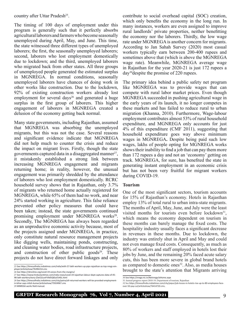country after Uttar Pradesh<sup>25</sup>.

The timing of 100 days of employment under this program is generally such that it perfectly absorbs agricultural laborers and farmers who become seasonally unemployed during April, May, and June. This time, the state witnessed three different types of unemployed laborers; the first, the seasonally unemployed laborers; second, laborers who lost employment domestically due to lockdown; and the third, unemployed laborers who migrated back from other states. All three groups of unemployed people generated the estimated surplus in MGNREGA. In normal conditions, seasonally unemployed laborers have chances of doing work in other works like construction. Due to the lockdown, 92% of existing construction workers already lost employment for several days<sup>26</sup> and generated a huge surplus in the first group of laborers. This higher engagement of laborers in MGNREGA created a delusion of the economy getting back normal.

Many state governments, including Rajasthan, assumed that MGNREGA was absorbing the unemployed migrants, but this was not the case. Several reasons and significant evidence indicate that MGNREGA did not help much to counter the crisis and reduce the impact on migrant lives. Firstly, though the state governments captured data in a disaggregated manner<sup>27</sup>, it mistakenly established a strong link between increasing MGNREGA engagement and migrants returning home; in reality, however, the unusual engagement was primarily shredded by the attendance of laborers who lost employment domestically. RCRC household survey shows that in Rajasthan, only 3.7% of migrants who returned home actually registered for MGNREGA, while 65% of them had no work, and near 24% started working in agriculture. This false reliance prevented other policy measures that could have been taken; instead, the state governments continued promising employment under MGNREGA works<sup>28</sup>. Secondly, The MGNREGA has always been regarded as an unproductive economic activity because, most of the projects assigned under MGNREGA, in practice, only constitute natural resource management projects like digging wells, maintaining ponds, constructing, and cleaning water bodies, road infrastructure projects, and construction of other public goods $2^9$ . These projects do not have direct forward linkages and only

contribute to social overhead capital (SOC) creation, which only benefits the economy in the long run. In many instances, workers are even assigned to improve rural landlords' private properties, neither benefitting the economy nor the laborers. Thirdly, the low wage rate under MGNREGA is another concern for migrants. According to Jan Sahah Survey (2020) most casual workers typically earn between 200-400 rupees and sometimes above that (which is above the MGNREGA wage rate). Meanwhile, MGNREGA average wage in Rajasthan for the year 2020-21 is just 172 rupees a day30despite the promise of 220 rupees.

The primary idea behind a public safety net program like MGNREGA was to provide wages that can compete with rural labor market prices. Even though MGNREGA succeeded in pushing agricultural wage in the early years of its launch, it no longer competes in these markets and has failed to reduce rural to urban migration (Khanna, 2010). Furthermore, Wage-labour employment contributes almost 53% of rural household expenditure, and MGNREGA only accounts for just 4% of this expenditure (CMF 2011), suggesting that household expenditure goes way above minimum wages in MGNREGA**.** Despite being paid such low wages, lakhs of people opting for MGNREGA works shows their inability to find a job that can pay them more than 172 rupees a day and not an 'economy' getting on track. MGNREGA, for sure, has benefited the state in generating instant employment in an economic crisis but has not been very fruitful for migrant workers during COVID-19.

#### **Tourism**

One of the most significant sectors, tourism accounts for 15% of Rajasthan's economy. Hotels in Rajasthan employ 13% of total rural to urban intra-state migrants. The months of April, May, June, and July were the least visited months for tourists even before lockdown<sup>31</sup>, which means the economy dependent on tourism in these months can barely manage the fixed costs. The hospitality industry usually faces a significant decrease in revenues in these months. Due to lockdown, the industry was entirely shut in April and May and could not even manage fixed costs. Consequently, as much as 80% of workers and staff employed in hotels lost their jobs by June, and the remaining 20% faced acute salary cuts, this has been more severe in global brand hotels as compared to domestic ones $32$ . Also, as media houses brought to the state's attention that Migrants arriving

<sup>25</sup> See https://timesofindia.indiatimes.com/india/with-57-lakh-workers-up-pips-rajasthan-as-top-nregs-employer/articleshow/76396154.cms

<sup>26</sup> See https://idronline.org/covid-19-voices-from-the-margins/

<sup>27</sup> See https://www.hindustantimes.com/india-news/covid-19-rajasthan-labour-dept-captures-data-of-45- 98-lakh-workers/story-Z3eO2LovFV9d5Q6Suf1H0L.html

<sup>28</sup> See https://timesofindia.indiatimes.com/city/patna/all-returned-workers-will-be-provided-employmentin-bihar-says-nitish-kumar/articleshow/75924967.cms

<sup>29</sup> MNREGA works field manual.

<sup>30</sup> See https://nrega.nic.in/Netnrega/stHome.aspx

<sup>31</sup> Annual progress report 2018-19, Department of tourism, Rajasthan 32 See https://timesofindia.indiatimes.com/city/jaipur/job-losses-in-hotels-rise-up-to-80-employees-face-

over-50-pay-cut/articleshow/76414720.cms.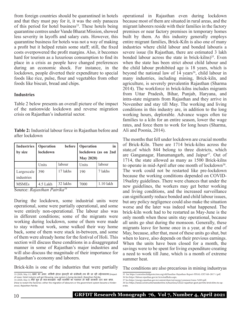from foreign countries should be quarantined in hotels and that they must pay for it, it was the only panacea of this period for hotel business<sup>33</sup>. These hotels being quarantine centres under Vande Bharat Mission, showed less severity in layoffs and salary cuts. However, this quarantine business for hotels was not a way of making a profit but it helped retain some staff; still, the fixed costs overpowered the profit margins. Also, it becomes hard for tourism as a luxurious consumption to find its place in a crisis as people have changed preferences during an economic shock. For instance, in the lockdown, people diverted their expenditure to special foods like rice, pulse, flour and vegetables from other foods like biscuit, bread and chips.

#### **Industries**

Table 2 below presents an overall picture of the impact of the nationwide lockdown and reverse migration crisis on Rajasthan's industrial sector.

**Table 2:** Industrial labour force in Rajasthan before and after lockdown

| <b>Industries</b>        | <b>Operation</b>                                                                           | before   | Operation        | in                  |
|--------------------------|--------------------------------------------------------------------------------------------|----------|------------------|---------------------|
| by size                  | lockdown                                                                                   |          |                  | lockdown (as on 2nd |
|                          |                                                                                            |          | <b>May 2020)</b> |                     |
|                          | Units                                                                                      | labour   | Units            | labour              |
| Largescale<br>industries | 390                                                                                        | 17 lakhs | 190              | 7 lakhs             |
| <b>MSMEs</b><br>$\sim$   | 4.5 Lakh<br>$\mathbf{n}$ $\mathbf{1}$ $\mathbf{n}$ $\mathbf{n}$ $\mathbf{1}$ $\mathbf{24}$ | 32 lakhs | 7000             | 1.10 lakh           |

Source: *Rajasthan Patrika34*

During the lockdown, some industrial units were operational, some were partially operational, and some were entirely non-operational. The labour also was in different conditions; some of the migrants were working during lockdown, some of them were made to stay without work, some walked their way home back, some of them were stuck in-between, and some of them were already home for the festival of Holi. This section will discuss these conditions in a disaggregated manner in some of Rajasthan's major industries and will also discuss the magnitude of their importance for Rajasthan's economy and laborers.

Brick-kiln is one of the industries that were partially

33 (2020, May 11). खबर का असर: मिलेगी होटल इंडस्ट्री को संजीवनी, तय की जा रही नईव्यवस्था (Impact of news: Hotel industry will get lifesaving, new system is being decided). *Rajasthan Patrika.* 34 (2020, May 3). कैसे शुरू हो कल-कारखाने: कहीं श्रमिकों का पलायन तो कहीं सरकारी तंत्र बना बाधा. (How to restart the factories: either the migration of labourers or the government system became a hinderance). *Rajasthan Patrika.*

operational in Rajasthan even during lockdown because most of them are situated in rural areas, and the migrant laborers reside with their families in the factory premises or near factory premises in temporary homes built by them. As this industry generally employs entire migrant families, Brick-Kiln is also one of many industries where child labour and bonded labouris a severe issue (In Rajasthan, there are estimated 3 lakh bonded labour across the state in brick-kilns)<sup>35</sup>. Even when the state has been strict about child labour and the child labour prohibited age is 18 years, which is beyond the national law of  $14$  years<sup>36</sup>, child labour in many industries, including mining, Brick-kiln, and agriculture, is severely prevalentin Rajasthan (Sharma 2014). The workforce in brick-kilns includes migrants from Uttar Pradesh, Bihar, Punjab, Haryana, and intra-state migrants from Rajasthan and they arrive in November and stay till May. The working and living conditions in this industry are, in addition to the long working hours, deplorable. Advance wages often tie families to a kiln for an entire season, lower the wage rates, and force them to work for long hours (Sharma, Ali and Poonia, 2014).

The months that fell under lockdown are crucial months of Brick-Kiln. There are 1714 brick-kilns across the state,of which 844 belong to three districts, which are Ganganagar, Hanumangarh, and Jaipur<sup>37</sup>. Out of 1714, the state allowed as many as 1500 Brick-kilns to operate in mid-April after one month of lockdown<sup>38</sup>. The work could not be restarted like pre-lockdown because the working conditions depended on COVID-19safety guidelines. There were chances that under the new guidelines, the workers may get better working and living conditions, and the increased surveillance can significantly reduce bonded and child labour issues, but any policy negligence could also make the situation worse and the later was indeed what happened. The brick-kiln work had to be restarted as May-June is the only month when these units stay operational, because all units go shut during the monsoon. Generally, these migrants leave for home once in a year, at the end of May, because, after that, most of these units go shut, but when to leave, also depends on their previous earnings. When the units have been closed for a month, the savings were to be spent for living expenditure creating a need to work till June, which is a month of extreme summer heat.

The conditions are also precarious in mining industryas

<sup>35</sup> See https://centreforchildprotection.org/old/baseline-Rajasthan-Report-FINAL-EXT-feb-2017-1.pdf.

<sup>36</sup> See https://labour.rajasthan.gov.in/ActsAndRules.aspx. 37 See https://energy.rajasthan.gov.in/content/dam/raj/energy/common/Annx-%203.pdf.

<sup>38</sup> See https://www.constructionweekonline.in/business/13122-rajasthan-govt-permits-brick-kilns-to-operate.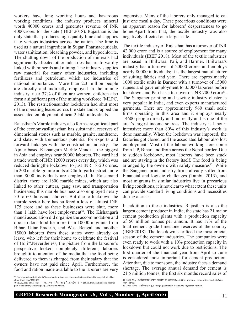workers have long working hours and hazardous working conditions, the industry produces mineral worth 40000 crores and generates revenue of INR 4000crores for the state (IBEF 2018). Rajasthan is the only state that produces high-quality lime and supplies it to various industries across the nation. The lime is used as a natural ingredient in Sugar, Pharmaceuticals, water sanitization, bleaching powder, and hypochlorite. The shutting down of the production of minerals had significantly affected other industries that are forwardly linked with minerals and mining. The industry supplies raw material for many other industries, including fertilizers and petroleum, which are industries of national importance. More than 2.3 million people are directly and indirectly employed in the mining industry, near 37% of them are women; children also form a significant part of the mining workforce (MLPC, 2013). The restrictionsunder lockdown had shut most of the operating leases across the state and scrapped the associated employment of near 2 lakh individuals.

Rajasthan's Marble industry also forms a significant part of the economyasRajasthan has substantial reserves of dimensional stones such as marble, granite, sandstone, and slate, with tremendous potential for exports and forward linkages with the construction industry. The Ajmer based Kishangarh Marble Mandi is the biggest in Asia and employs near 50000 laborers. The yard had a trade worth of INR 12000 crores every day, which was reduced duringthe lockdown to just INR 18-20 crores. In 200 marble-granite units of Chittorgarh district, more than 8000 individuals are employed. In Rajsamand district, there are 1800 marble mines, which are also linked to other cutters, gang saw, and transportation businesses; this marble business also employed nearly 50 to 60 thousand laborers. But due to lockdown the marble sector here has suffered a loss of almost INR 175 crore and as these businesses were shut, more than 1 lakh have lost employment<sup>39</sup>. The Kishangarh mandi association did organize the accommodation and door to door food for more than 10000 migrants from Bihar, Uttar Pradesh, and West Bengal and another 15000 laborers from these states were already on leave, who left for their home to celebrate the festival of Holi40.Nevertheless, the picture from the labourer's perspective looked completely different; laborers broughtit to attention of the media that the food being delivered to them is charged from their salary that the owners have not paid since April. Furthermore, the food and ration made available to the laborers are very

expensive. Many of the laborers only managed to eat just one meal a day. These precarious conditions were an apparent reason for laborers' desperateness to go home.Apart from that, the textile industry was also negatively affected on a large scale.

The textile industry of Rajasthan has a turnover of INR 42,000 crore and is a source of employment for many individuals (IBEF 2018). Most of the textile industries are based in Bhilwara, Pali, and Barmer. Bhilwara's industry has a turnover of 20000 crores and employs nearly 80000 individuals; it is the largest manufacturer of suiting fabrics and yarn. There are approximately 1000 textile units in Barmer with a turnover of 15000 rupees and gave employment to 35000 laborers before lockdown, and Pali has a turnover of INR 7000 crore<sup>41</sup>. The Sanganer printing and sewing industry cluster is very popular in India, and even exports manufactured garments. There are approximately 960 small scale firms operating in this area and it employs nearly 14600 people directly and indirectly and is one of the area's largest income sources. The industry is labourintensive; more than 80% of this industry's work is done manually. When the lockdown was imposed, the factories got closed, and the associated labour also lost employment. Most of the labour working here come from UP, Bihar, and from across the Nepal border. Due to sudden lockdown, most laborers have been stuck and are staying in the factory itself. The food is being arranged by the owners with safety measures $42$ . While the Sanganer print industry firms already suffer from Financial and logistic challenges (Tambi, 2013), and most migrants in similar industries live in precarious living conditions, it is not clear to what extent these units can provide standard living conditions and necessities during a crisis.

In addition to these industries, Rajasthan is also the largest cement producer in India; the state has 21 major cement production plants with a production capacity of 50 million tonnes per annum. It has 17% of the total cement grade limestone reserves of the country (IBEF2018). The lockdown sacrificed the most crucial season of the cement industries. The companies were even ready to work with a 10% production capacity in lockdown but could not work due to restrictions. The first quarter of the financial year from April to June is considered most important for cement production. After that, due to monsoon, the industry faces a demand shortage. The average annual demand for cement is 21.5 million tonnes; the first six months record sales of

<sup>39</sup> See https://theprint.in/india/its-marble-industry-has-come-to-a-halt-rajasthans-kishangarh-looks-likeghost-town-now/418246/.

<sup>40 (2020,</sup> April 1).दस हज़ार मजदूर बने परिवार का हिस्सा, पहुंचा रहे मदद(Ten thousand laborers became part of the family, delivering help)*. Rajasthan Patrika.*

<sup>41 (2020,</sup> May 15).संभावनाएं अपार, सहयोग की दरकार(Possibilities immense, cooperation needed).*Rajasthan Patrika.*

<sup>42 (2020,</sup> April 14).लॉकडाउन हुए मजदूर (Workers in lockdown). *Rajasthan Patrika.*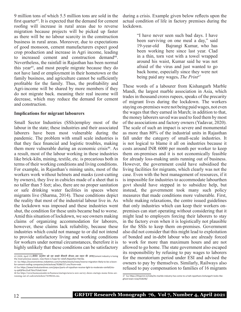9 million tons of which 5.5 million tons are sold in the first quarter<sup>43</sup>. It is expected that the demand for cement roofing will increase in rural areas due to reverse migration because projects will be picked up faster as there will be no labour scarcity in the construction business in rural areas. Moreover, due to expectations of good monsoon, cement manufacturers expect good crop production and increase in Agri income, leading to increased cement and construction demand<sup>44</sup>. Nevertheless, the rainfall in Rajasthan has been normal this year45, and most people migrate because they do not have land or employment in their hometown or the family business, and agriculture cannot be sufficiently profitable for the family. Thus, the profitability and Agri-income will be shared by more members if they do not migrate back. meaning their real income will decrease, which may reduce the demand for cement and construction.

#### **Implications for migrant labourers**

Small Sector Industries (SSIs)employ most of the labour in the state; these industries and their associated laborers have been most vulnerable during the pandemic. The problem with small scale industries is that they face financial and logistic troubles, making them more vulnerable during an economic crisis<sup>46</sup>. As a result, most of the labour working in these industries like brick-kiln, mining, textile, etc. is precarious both in terms of their working conditions and living conditions. For example, in Rajasthan's mining units, most of the workers work without helmets and masks (cost-cutting by owners), they live in cubicles made of a sheet that is no taller than 5 feet; also, there are no proper sanitation or safe drinking water facilities in spaces where migrants live (Sharma, 2014). These conditions depict the reality that most of the industrial labour live in. As the lockdown was imposed and these industries went shut, the condition for these units became bad to worse. Amid this situation of lockdown, we see owners making claims of organizing accommodation for laborers, however, these claims lack reliability, because these industries which could not manage to or did not intend to provide satisfactory living and working conditions for workers under normal circumstances, therefore it is highly unlikely that these conditions can be satisfactory

during a crisis. Example given below reflects upon the actual condition of life in factory premises during the lockdown.

> "I have never seen such bad days. I have been surviving on one meal a day," said 19-year-old Bajrangi Kumar, who has been working here since last year. Clad in a thin, torn vest with a towel wrapped around his waist, Kumar said he was not afraid of the virus and just wanted to go back home, especially since they were not being paid any wages**.** *The Print47*

These words of a labourer from Kishangarh Marble Mandi, the largest marble association in Asia, which trades in thousand crores rupees, speaks of the precarity of migrant lives during the lockdown. The workers staying on-premises were not being paid wages, not even the wages that they earned in March; in addition to that, the money laborers saved was used to feed them by most of the associations and factory owners (Yadavar, 2020). The scale of such an impact is severe and monumental as more than 80% of the industrial units in Rajasthan fall under the category of small-scale industries. It is not logical to blame it all on industries because it costs around INR 6000 per month per worker to keep them on-premises and it is not economically feasible for already loss-making units running out of business. However, the government could have subsidised the living facilities for migrants, which clearly was not the case. Even with the best management of resources, if it is impossible for industries to accommodate labourthen govt should have stepped in to subsidize help, but instead, the government took many such policy measures that made conditions more vulnerable. First, while making relaxations, the centre issued guidelines that only industries which can keep their workers onpremises can start operating without considering that it might lead to employers forcing their laborers to stay in the factory even when it is logistically not plausible for the SSIs to keep them on-premises. Government also did not consider that this might lead to exploitation of bonded and in-debt labour who are already forced to work for more than maximum hours and are not allowed to go home. The state government also escaped its responsibility by refusing to pay wages to laborers for the moratorium period under ESI and advised the owners to pay by themselves. Similarly, Railways also refused to pay compensation to families of 16 migrants

<sup>43 (2020,</sup> April 15).सीमेंट उद्योग खो रहा सबसे कीमती सीजन, अब राहत की आस(Cement industry is losing the most precious season, now there is hope for relief).*Rajasthan Patrika.*

<sup>44</sup> See https://economictimes.indiatimes.com/markets/stocks/news/reverse-migration-likely-to-be-a-boonfor-cement-roofing-companies/articleshow/76386727.cms?from=mdr.

<sup>45</sup> See https://www.hindustantimes.com/jaipur/parts-of-rajasthan-receive-light-to-moderate-rainfall/story-zy6QF9nc2LxE7XmJ7UtxKJ.html

<sup>46</sup> See https://www.businessinsider.in/business/startups/news/a-new-survey-shows-startups-msme-firms-arerunning-out-of-cash/articleshow/76398244.cms.

<sup>47</sup> See https://theprint.in/india/its-marble-industry-has-come-to-a-halt-rajasthans-kishangarh-looks-likeghost-town-now/418246/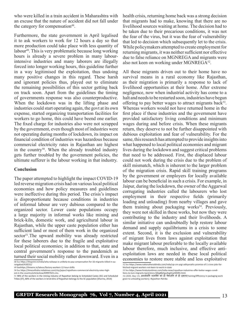who were killed in a train accident in Maharashtra with an excuse that the nature of accident did not fall under the category for compensation<sup>48</sup>.

Furthermore, the state government in April legalised it to ask workers to work for 12 hours a day so that more production could take place with less quantity of labour<sup>49</sup>. This is very problematic because long working hours is already a severe problem in many labourintensive industries and many laborers are illegally forced into longer working hours, this guideline further in a way legitimised the exploitation, thus undoing many positive changes in this regard. These harsh and ignorant policies thus, played out to eliminate the remaining possibilities of this sector getting back on track soon. Apart from the guidelines the timing of governments response was also counterproductive. When the lockdown was in the lifting phase and industries could start operating again, the govt at its own expense, started organizing transportation facilities for workers to go home, this could have beend one earlier. The fixed charge for industries also were not scrapped by the government, even though most of industries were not operating during months of lockdown, its impact on financial condition of industries was hazardous because commercial electricity rates in Rajasthan are highest in the country<sup>50</sup>. When the already troubled industry gets further troubled by the government policies, the ultimate sufferer is the labour working in that industry.

#### **Conclusion**

The paper attempted to highlight the impact COVID-19 led reverse migration crisis had on various local political economies and how policy measures and guidelines were ineffective during this period. The crisis's impact is disproportionate because conditions in industries of informal labour are very dubious compared to the organized sector. Lower caste populations occupy a large majority in informal works like mining and brick-kiln, domestic work, and agricultural labour in Rajasthan, while the upper caste population either has sufficient land or most of them work in the organized sector<sup>51</sup>. The upward mobility was already restricted for these laborers due to the fragile and exploitative local political economies; in addition to that, state and central government's response to the pandemich as turned their social mobility rather downward. Even in a

health crisis, returning home back was a strong decision that migrants had to make, knowing that there are no livelihood sources waiting at home. The decision had to be taken due to their precarious conditions, it was not the fear of the virus, but it was the fear of vulnerability that led to decision which subsequently let to the crisis. While policymakers attempted to create employment for returning migrants, it was neither sufficient nor effective due to false reliance on MGNREGA and migrants were also not keen on working under MGNREGA<sup>52</sup>.

All these migrants driven out to their home have no survival means in a rural economy like Rajasthan, as their migration is primarily a response to lack of livelihood opportunities at their home. After extreme negligence, now when industrial activity has come to a halt and needs to be restarted soon, industries have begun offering to pay better wages to attract migrants back<sup>53</sup>. Whereas workers would not have returned home in the first place if these industries and the government have provided satisfactory living conditions and minimum wages during and before crisis. When these migrants return, they deserve to not be further disappointed with dubious exploitation and fear of vulnerability. For the same, this research has attempted to provide insights into what happened to local political economies and migrant lives during the lockdown and suggest critical problems that need to be addressed. First, the displaced labour could not work during the crisis due to the problem of skill mismatch, which is inherent to the larger problem of the migration crisis. Rapid skill training programs by the government or employers for locally available labour can be beneficial in such a crisis. For example, in Jaipur, during the lockdown, the owner of the Aggarwal corrugating industries called the labourers who lost employment in their respective fields (primarily loading and unloading) from nearby villages and gave them training about packaging works<sup>54</sup>. Previously, they were not skilled in these works, but now they were contributing to the industry and their livelihoods. A similar initiative can undoubtedly help restore labour demand and supply equilibriums in a crisis to some extent. Second, it is the exclusion and vulnerability of migrant lives from laws against exploitation that make migrant labour preferable to the locally available labour therefore, much inclusive, and effective antiexploitation laws are needed in these local political economies to restore more stable and less exploitative

<sup>48</sup> See https://theprint.in/india/why-railways-is-unlikely-to-pay-compensation-for-16-migrants-killed-in-aurangabad/418231/

<sup>49</sup> Seehttps://thewire.in/labour/factory-workers-12-hour-shifts

<sup>50</sup> See https://timesofindia.indiatimes.com/city/jaipur/rajasthans-commercial-electricity-rates-highest-in-the-country/articleshow/69997025.cms.

<sup>51</sup> 98% of the workers in the mining industry of Rajasthan belong to Scheduled Castes (SC) and Scheduled Tribes (ST), 80% of the workers in brick-kilns of Rajasthan belongs to the SC population (Sharma, 2014)

<sup>52</sup> See https://www.nationalheraldindia.com/india/up-cm-yogi-adityanaths-promise-of-1-crore-jobs-farfetched-migrant-workers-not-keen-to-work-in-state 53 See https://www.hindustantimes.com/india-news/rajasthan-industries-offer-better-wages-condi-

tions-to-lure-migrants-back/story-QIkqjBkj5guXogDvwNX0RJ.html.<br>54 (2020, May 13). अनलोडगि श्रमकों को दी पैकेजगि में दी दक्षता(Training/Efficiency in packaging work

given to unloading workers). *Rajasthan Patrika*.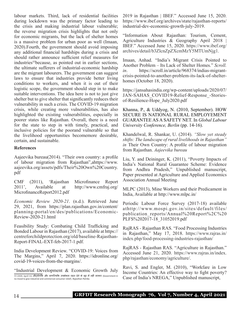labour markets. Third, lack of residential facilities during lockdown was the primary factor leading to the crisis and making industrial labour vulnerable; the reverse migration crisis highlights that not only for economic migrants, but the lack of shelter homes is a massive problem for urban poor as well (Imaan, 2020).Fourth, the government should avoid imposing any additional financial hardships during a crisis and should rather announce sufficient relief measures for industries<sup>55</sup>because, as pointed out in earlier sections, the ultimate sufferers of industrial-economic hardship are the migrant labourers. The government can suggest laws to ensure that industries provide better living conditions to workers, and when it is out of their logistic scope, the government should step in to make suitable interventions. The idea here is not to just give shelter but to give shelter that significantly reduces their vulnerability in such a crisis. The COVID-19 migration crisis, while creating more vulnerabilities, has also highlighted the existing vulnerabilities, especially in poorer states like Rajasthan. Overall, there is a need for the state to step in with timely, practical, and inclusive policies for the poorand vulnerable so that the livelihood opportunities becomemore desirable, certain, and sustainable.

#### **References**

Aajeevika bureau(2014). "Their own country: a profile of labour migration from Rajasthan",ahttps://www. aajeevika.org/assets/pdfs/Their%20Own%20Country. pdf

CMF (2011), 'Rajasthan Microfinance Report<br>2011', Available at http://www.cmfraj.org/ Available at http://www.cmfraj.org/ MicrofinanceReport2012.pdf

*Economic Review 2020-21*. (n.d.). Retrieved June 29, 2021, from https://plan.rajasthan.gov.in/content/ planning-portal/en/des/publications/Economic-Review-2020-21.html

Feasibility Study: Combating Child Trafficking and Bonded Labour in Rajasthan (2017), available at https:// centreforchildprotection.org/old/baseline-Rajasthan-Report-FINAL-EXT-feb-2017-1.pdf.

India Development Review. "COVID-19: Voices from The Margins," April 7, 2020. https://idronline.org/ covid-19-voices-from-the-margins/.

"Industrial Development & Economic Growth July 55 (2020, April 14). औद्योगिक और वाणिज्यिक उपभोक्ता राहत देने के मूड में नहीं सरकार (Government in no mood to give industrial and commercial consumer relief). *Rajasthan Patrika*.

2019 in Rajasthan | IBEF." Accessed June 15, 2020. https://www.ibef.org/archives/state/rajasthan-reports/ industrial-dev-economic-growth-july-2019.

"Information About Rajasthan: Tourism, Cement, Agriculture Industries & Geography April 2018 | IBEF." Accessed June 15, 2020. https://www.ibef.org/ archives/detail/b3ZlcnZpZXcmMzY5MTUmNjg1.

Imaan, Anhad. "India's Migrant Crisis Pointed to Another Problem – Its Lack of Shelter Homes." *Scroll. in*. https://scroll.in/article/968374/indias-migrantcrisis-pointed-to-another-problem-its-lack-of-shelterhomes (October 18, 2020).

https://jansahasindia.org/wp-content/uploads/2020/07/ JAN-SAHAS COVID19-Relief-Response-Storiesof-Resilience-Hope\_July2020.pdf

Khanna, P., & Uddyog, N. (2010, September). HOW SECURE IS NATIONAL RURAL EMPLOYEMENT GUARANTEE AS A SAFETY NET. In *Global Labour University Conference, Berlin* (pp. 14-16).

Khandelwal, R. Shankar, U. (2014). *"Slow yet steady shifts: The landscape of rural livelihoods in Rajasthan" in* Their Own Country: A profile of labour migration from Rajasthan. *Aajeevika bureau*

Liu, Y. and Deininger, K. (2011), "Poverty Impacts of India's National Rural Guarantee Scheme: Evidence from Andhra Pradesh," Unpublished manuscript, Paper presented at Agriculture and Applied Economics Association Annual Meeting

MLPC (2013), Mine Workers and their Predicament in India, Available at http://www.mlpc.in/

Periodic Labour Force Survey (2017-18) available athttp://www.mospi.gov.in/sites/default/files/ publication\_reports/Annual%20Report%2C%20 PLFS%202017-18\_31052019.pdf

RajRAS - Rajasthan RAS. "Food Processing Industries in Rajasthan," May 17, 2018. https://www.rajras.in/ index.php/food-processing-industries-rajasthan/

RajRAS - Rajasthan RAS. "Agriculture in Rajasthan." Accessed June 21, 2020. https://www.rajras.in/index. php/rajasthan/economy/agriculture/.

Ravi, S. and Engler, M. (2010), "Workfare in Low Income Countries: An effective way to fight poverty? Case of India's NREGA," Unpublished manuscript,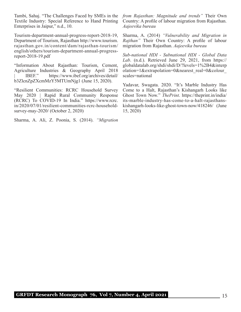Tambi, Sahaj. "The Challenges Faced by SMEs in the Textile Industry: Special Reference to Hand Printing Enterprises in Jaipur," n.d., 10.

Tourism-department-annual-progress-report-2018-19, Department of Tourism, Rajasthan http://www.tourism. rajasthan.gov.in/content/dam/rajasthan-tourism/ english/others/tourism-department-annual-progressreport-2018-19.pdf

"Information About Rajasthan: Tourism, Cement, Agriculture Industries & Geography April 2018 | IBEF." https://www.ibef.org/archives/detail/ b3ZlcnZpZXcmMzY5MTUmNjg1 (June 15, 2020).

"Resilient Communities: RCRC Household Survey May 2020 | Rapid Rural Community Response (RCRC) To COVID-19 In India." https://www.rcrc. in/2020/07/01/resilient-communities-rcrc-householdsurvey-may-2020/ (October 2, 2020)

Sharma, A. Ali, Z. Poonia, S. (2014). *"Migration* 

*from Rajasthan: Magnitude and trends"* Their Own Country: A profile of labour migration from Rajasthan. *Aajeevika bureau*

Sharma, A. (2014) *"Vulnerability and Migration in Rajthan"* Their Own Country: A profile of labour migration from Rajasthan. *Aajeevika bureau*

*Sub-national HDI - Subnational HDI - Global Data Lab*. (n.d.). Retrieved June 29, 2021, from https:// globaldatalab.org/shdi/shdi/D/?levels=1%2B4&interp olation=1&extrapolation=0&nearest\_real=0&colour\_ scales=national

Yadavar, Swagata. 2020. "It's Marble Industry Has Come to a Halt, Rajasthan's Kishangarh Looks like Ghost Town Now." *ThePrint*. https://theprint.in/india/ its-marble-industry-has-come-to-a-halt-rajasthanskishangarh-looks-like-ghost-town-now/418246/ (June 15, 2020)